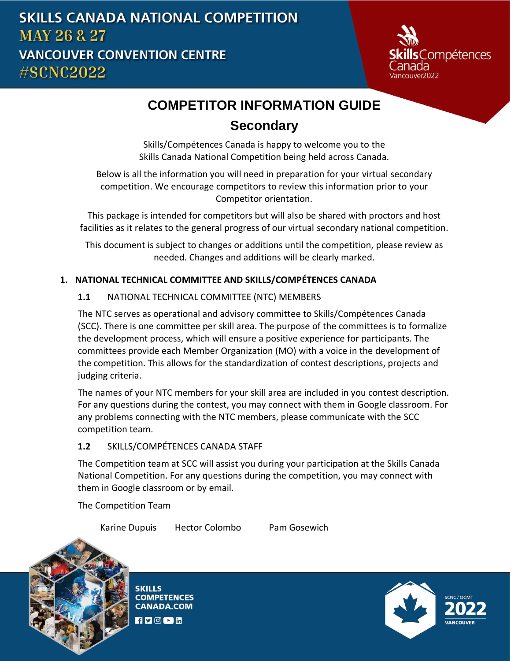

# **COMPETITOR INFORMATION GUIDE**

# **Secondary**

Skills/Compétences Canada is happy to welcome you to the Skills Canada National Competition being held across Canada.

Below is all the information you will need in preparation for your virtual secondary competition. We encourage competitors to review this information prior to your Competitor orientation.

This package is intended for competitors but will also be shared with proctors and host facilities as it relates to the general progress of our virtual secondary national competition.

This document is subject to changes or additions until the competition, please review as needed. Changes and additions will be clearly marked.

# **1. NATIONAL TECHNICAL COMMITTEE AND SKILLS/COMPÉTENCES CANADA**

# **1.1** NATIONAL TECHNICAL COMMITTEE (NTC) MEMBERS

The NTC serves as operational and advisory committee to Skills/Compétences Canada (SCC). There is one committee per skill area. The purpose of the committees is to formalize the development process, which will ensure a positive experience for participants. The committees provide each Member Organization (MO) with a voice in the development of the competition. This allows for the standardization of contest descriptions, projects and judging criteria.

The names of your NTC members for your skill area are included in you contest description. For any questions during the contest, you may connect with them in Google classroom. For any problems connecting with the NTC members, please communicate with the SCC competition team.

## **1.2** SKILLS/COMPÉTENCES CANADA STAFF

The Competition team at SCC will assist you during your participation at the Skills Canada National Competition. For any questions during the competition, you may connect with them in Google classroom or by email.

The Competition Team

Karine Dupuis Hector Colombo Pam Gosewich



**SKILLS COMPETENCES CANADA.COM**  $H$   $\triangleright$   $\odot$   $\triangleright$   $\mathop{\text{Im}}$ 

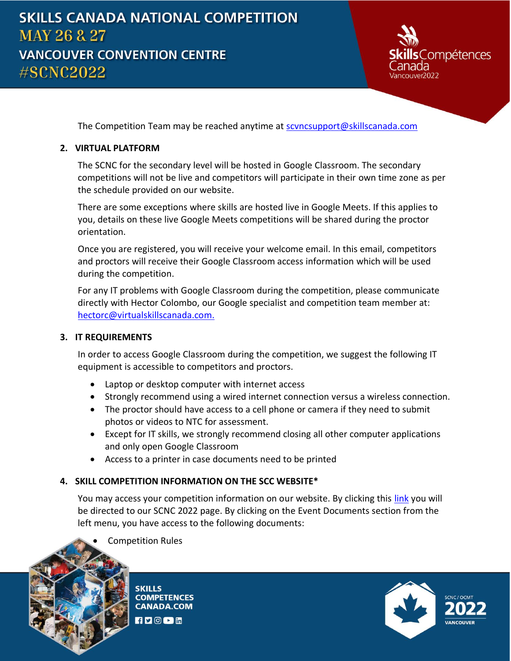

The Competition Team may be reached anytime at [scvncsupport@skillscanada.com](mailto:SCVNCsupport@skillscanada.com)

### **2. VIRTUAL PLATFORM**

The SCNC for the secondary level will be hosted in Google Classroom. The secondary competitions will not be live and competitors will participate in their own time zone as per the schedule provided on our website.

There are some exceptions where skills are hosted live in Google Meets. If this applies to you, details on these live Google Meets competitions will be shared during the proctor orientation.

Once you are registered, you will receive your welcome email. In this email, competitors and proctors will receive their Google Classroom access information which will be used during the competition.

For any IT problems with Google Classroom during the competition, please communicate directly with Hector Colombo, our Google specialist and competition team member at: [hectorc@virtualskillscanada.com.](mailto:training@magisted.ca)

#### **3. IT REQUIREMENTS**

In order to access Google Classroom during the competition, we suggest the following IT equipment is accessible to competitors and proctors.

- Laptop or desktop computer with internet access
- Strongly recommend using a wired internet connection versus a wireless connection.
- The proctor should have access to a cell phone or camera if they need to submit photos or videos to NTC for assessment.
- Except for IT skills, we strongly recommend closing all other computer applications and only open Google Classroom
- Access to a printer in case documents need to be printed

## **4. SKILL COMPETITION INFORMATION ON THE SCC WEBSITE\***

You may access your competition information on our website. By clicking this [link](https://www.skillscompetencescanada.com/en/event/skills-canada-national-competition-2022/) you will be directed to our SCNC 2022 page. By clicking on the Event Documents section from the left menu, you have access to the following documents:



**SKILLS COMPETENCES CANADA.COM** 

 $fD$  or  $m$ 

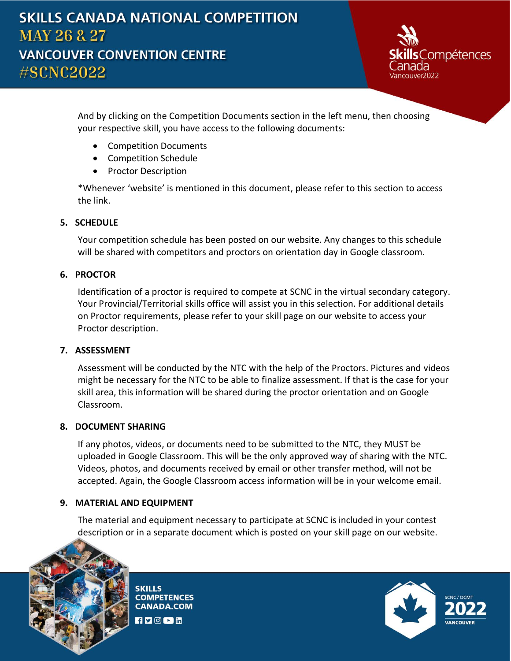

And by clicking on the Competition Documents section in the left menu, then choosing your respective skill, you have access to the following documents:

- Competition Documents
- Competition Schedule
- Proctor Description

\*Whenever 'website' is mentioned in this document, please refer to this section to access the link.

# **5. SCHEDULE**

Your competition schedule has been posted on our website. Any changes to this schedule will be shared with competitors and proctors on orientation day in Google classroom.

## **6. PROCTOR**

Identification of a proctor is required to compete at SCNC in the virtual secondary category. Your Provincial/Territorial skills office will assist you in this selection. For additional details on Proctor requirements, please refer to your skill page on our website to access your Proctor description.

## **7. ASSESSMENT**

Assessment will be conducted by the NTC with the help of the Proctors. Pictures and videos might be necessary for the NTC to be able to finalize assessment. If that is the case for your skill area, this information will be shared during the proctor orientation and on Google Classroom.

## **8. DOCUMENT SHARING**

If any photos, videos, or documents need to be submitted to the NTC, they MUST be uploaded in Google Classroom. This will be the only approved way of sharing with the NTC. Videos, photos, and documents received by email or other transfer method, will not be accepted. Again, the Google Classroom access information will be in your welcome email.

# **9. MATERIAL AND EQUIPMENT**

The material and equipment necessary to participate at SCNC is included in your contest description or in a separate document which is posted on your skill page on our website.



**SKILLS COMPETENCES CANADA.COM**  $f \circ \text{O}$   $\blacksquare$  in

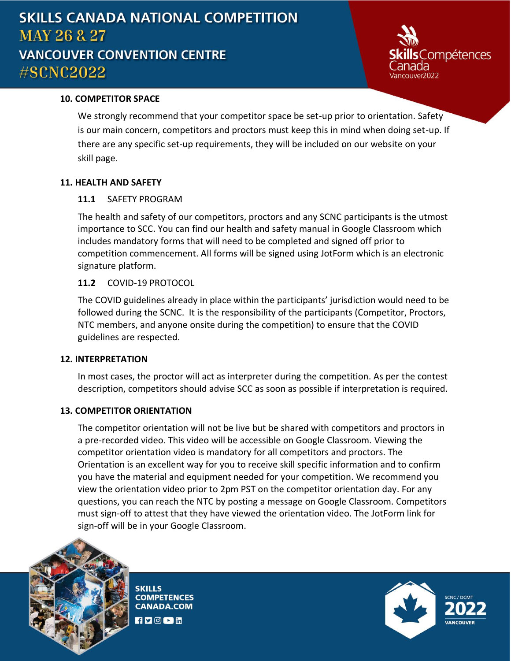# **SKILLS CANADA NATIONAL COMPETITION MAY 26 & 27 VANCOUVER CONVENTION CENTRE** #SCNC2022



### **10. COMPETITOR SPACE**

We strongly recommend that your competitor space be set-up prior to orientation. Safety is our main concern, competitors and proctors must keep this in mind when doing set-up. If there are any specific set-up requirements, they will be included on our website on your skill page.

### **11. HEALTH AND SAFETY**

### **11.1** SAFETY PROGRAM

The health and safety of our competitors, proctors and any SCNC participants is the utmost importance to SCC. You can find our health and safety manual in Google Classroom which includes mandatory forms that will need to be completed and signed off prior to competition commencement. All forms will be signed using JotForm which is an electronic signature platform.

## **11.2** COVID-19 PROTOCOL

The COVID guidelines already in place within the participants' jurisdiction would need to be followed during the SCNC. It is the responsibility of the participants (Competitor, Proctors, NTC members, and anyone onsite during the competition) to ensure that the COVID guidelines are respected.

#### **12. INTERPRETATION**

In most cases, the proctor will act as interpreter during the competition. As per the contest description, competitors should advise SCC as soon as possible if interpretation is required.

#### **13. COMPETITOR ORIENTATION**

The competitor orientation will not be live but be shared with competitors and proctors in a pre-recorded video. This video will be accessible on Google Classroom. Viewing the competitor orientation video is mandatory for all competitors and proctors. The Orientation is an excellent way for you to receive skill specific information and to confirm you have the material and equipment needed for your competition. We recommend you view the orientation video prior to 2pm PST on the competitor orientation day. For any questions, you can reach the NTC by posting a message on Google Classroom. Competitors must sign-off to attest that they have viewed the orientation video. The JotForm link for sign-off will be in your Google Classroom.



**SKILLS COMPETENCES CANADA.COM**  $f$   $\blacksquare$   $\odot$   $\blacksquare$  in

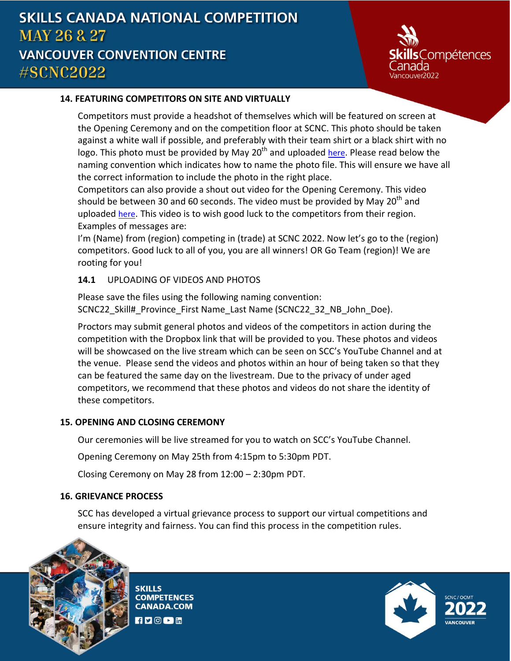**Compétences** 

## **14. FEATURING COMPETITORS ON SITE AND VIRTUALLY**

Competitors must provide a headshot of themselves which will be featured on screen at the Opening Ceremony and on the competition floor at SCNC. This photo should be taken against a white wall if possible, and preferably with their team shirt or a black shirt with no logo. This photo must be provided by May 20<sup>th</sup> and uploaded [here](https://skillscanada1-my.sharepoint.com/:f:/g/personal/onedriveadmin_skillscanada_com/EiDDBiQ_fClOrJUrrSZiyc4BuW2C0oDlIwK5CHk4wm05bw?e=VP4VRf). Please read below the naming convention which indicates how to name the photo file. This will ensure we have all the correct information to include the photo in the right place.

Competitors can also provide a shout out video for the Opening Ceremony. This video should be between 30 and 60 seconds. The video must be provided by May 20<sup>th</sup> and uploaded [here](https://skillscanada1-my.sharepoint.com/:f:/g/personal/onedriveadmin_skillscanada_com/EgOooLr8al1Jhv6jMecNCI8BG-QaPeEH72KMFeHWmBVxvA?e=Prdqr2). This video is to wish good luck to the competitors from their region. Examples of messages are:

I'm (Name) from (region) competing in (trade) at SCNC 2022. Now let's go to the (region) competitors. Good luck to all of you, you are all winners! OR Go Team (region)! We are rooting for you!

## **14.1** UPLOADING OF VIDEOS AND PHOTOS

Please save the files using the following naming convention: SCNC22\_Skill#\_Province\_First Name\_Last Name (SCNC22\_32\_NB\_John\_Doe).

Proctors may submit general photos and videos of the competitors in action during the competition with the Dropbox link that will be provided to you. These photos and videos will be showcased on the live stream which can be seen on SCC's YouTube Channel and at the venue. Please send the videos and photos within an hour of being taken so that they can be featured the same day on the livestream. Due to the privacy of under aged competitors, we recommend that these photos and videos do not share the identity of these competitors.

## **15. OPENING AND CLOSING CEREMONY**

Our ceremonies will be live streamed for you to watch on SCC's YouTube Channel.

Opening Ceremony on May 25th from 4:15pm to 5:30pm PDT.

Closing Ceremony on May 28 from 12:00 – 2:30pm PDT.

# **16. GRIEVANCE PROCESS**

SCC has developed a virtual grievance process to support our virtual competitions and ensure integrity and fairness. You can find this process in the competition rules.



**SKILLS COMPETENCES CANADA.COM**  $f$   $\blacksquare$   $\odot$   $\blacksquare$  in

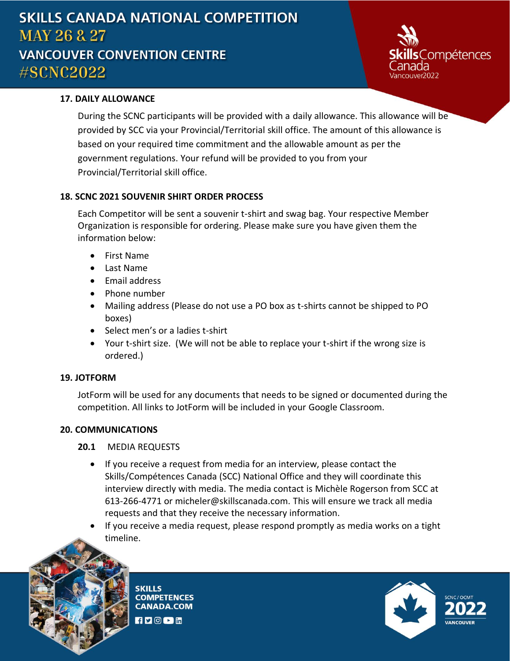# **SKILLS CANADA NATIONAL COMPETITION MAY 26 & 27 VANCOUVER CONVENTION CENTRE** #SCNC2022



## **17. DAILY ALLOWANCE**

During the SCNC participants will be provided with a daily allowance. This allowance will be provided by SCC via your Provincial/Territorial skill office. The amount of this allowance is based on your required time commitment and the allowable amount as per the government regulations. Your refund will be provided to you from your Provincial/Territorial skill office.

### **18. SCNC 2021 SOUVENIR SHIRT ORDER PROCESS**

Each Competitor will be sent a souvenir t-shirt and swag bag. Your respective Member Organization is responsible for ordering. Please make sure you have given them the information below:

- First Name
- Last Name
- Email address
- Phone number
- Mailing address (Please do not use a PO box as t-shirts cannot be shipped to PO boxes)
- Select men's or a ladies t-shirt
- Your t-shirt size. (We will not be able to replace your t-shirt if the wrong size is ordered.)

#### **19. JOTFORM**

JotForm will be used for any documents that needs to be signed or documented during the competition. All links to JotForm will be included in your Google Classroom.

#### **20. COMMUNICATIONS**

#### **20.1** MEDIA REQUESTS

- If you receive a request from media for an interview, please contact the Skills/Compétences Canada (SCC) National Office and they will coordinate this interview directly with media. The media contact is Michèle Rogerson from SCC at 613-266-4771 or [micheler@skillscanada.com.](mailto:micheler@skillscanada.com) This will ensure we track all media requests and that they receive the necessary information.
- If you receive a media request, please respond promptly as media works on a tight timeline.



**SKILLS COMPETENCES CANADA.COM**  $f \triangleright \lbrack 0 \triangleright \rbrack$  in